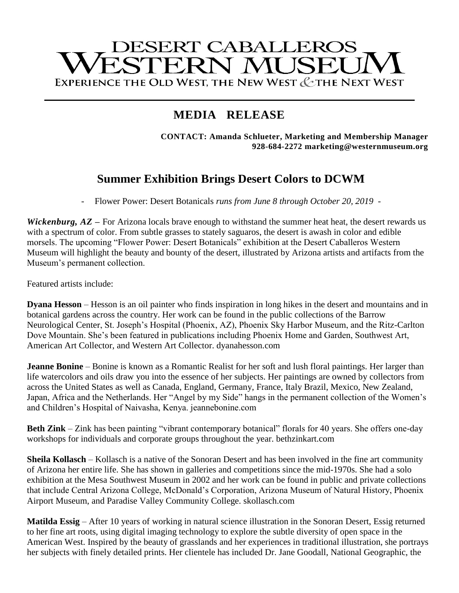# **DESERT CABALLEROS** ESTERN MUSEL EXPERIENCE THE OLD WEST, THE NEW WEST & THE NEXT WEST

# **MEDIA RELEASE**

**CONTACT: Amanda Schlueter, Marketing and Membership Manager 928-684-2272 marketing@westernmuseum.org**

# **Summer Exhibition Brings Desert Colors to DCWM**

- Flower Power: Desert Botanicals *runs from June 8 through October 20, 2019 -*

*Wickenburg, AZ* – For Arizona locals brave enough to withstand the summer heat heat, the desert rewards us with a spectrum of color. From subtle grasses to stately saguaros, the desert is awash in color and edible morsels. The upcoming "Flower Power: Desert Botanicals" exhibition at the Desert Caballeros Western Museum will highlight the beauty and bounty of the desert, illustrated by Arizona artists and artifacts from the Museum's permanent collection.

Featured artists include:

**Dyana Hesson** – Hesson is an oil painter who finds inspiration in long hikes in the desert and mountains and in botanical gardens across the country. Her work can be found in the public collections of the Barrow Neurological Center, St. Joseph's Hospital (Phoenix, AZ), Phoenix Sky Harbor Museum, and the Ritz-Carlton Dove Mountain. She's been featured in publications including Phoenix Home and Garden, Southwest Art, American Art Collector, and Western Art Collector. dyanahesson.com

**Jeanne Bonine** – Bonine is known as a Romantic Realist for her soft and lush floral paintings. Her larger than life watercolors and oils draw you into the essence of her subjects. Her paintings are owned by collectors from across the United States as well as Canada, England, Germany, France, Italy Brazil, Mexico, New Zealand, Japan, Africa and the Netherlands. Her "Angel by my Side" hangs in the permanent collection of the Women's and Children's Hospital of Naivasha, Kenya. jeannebonine.com

**Beth Zink** – Zink has been painting "vibrant contemporary botanical" florals for 40 years. She offers one-day workshops for individuals and corporate groups throughout the year. bethzinkart.com

**Sheila Kollasch** – Kollasch is a native of the Sonoran Desert and has been involved in the fine art community of Arizona her entire life. She has shown in galleries and competitions since the mid-1970s. She had a solo exhibition at the Mesa Southwest Museum in 2002 and her work can be found in public and private collections that include Central Arizona College, McDonald's Corporation, Arizona Museum of Natural History, Phoenix Airport Museum, and Paradise Valley Community College. skollasch.com

**Matilda Essig** – After 10 years of working in natural science illustration in the Sonoran Desert, Essig returned to her fine art roots, using digital imaging technology to explore the subtle diversity of open space in the American West. Inspired by the beauty of grasslands and her experiences in traditional illustration, she portrays her subjects with finely detailed prints. Her clientele has included Dr. Jane Goodall, National Geographic, the